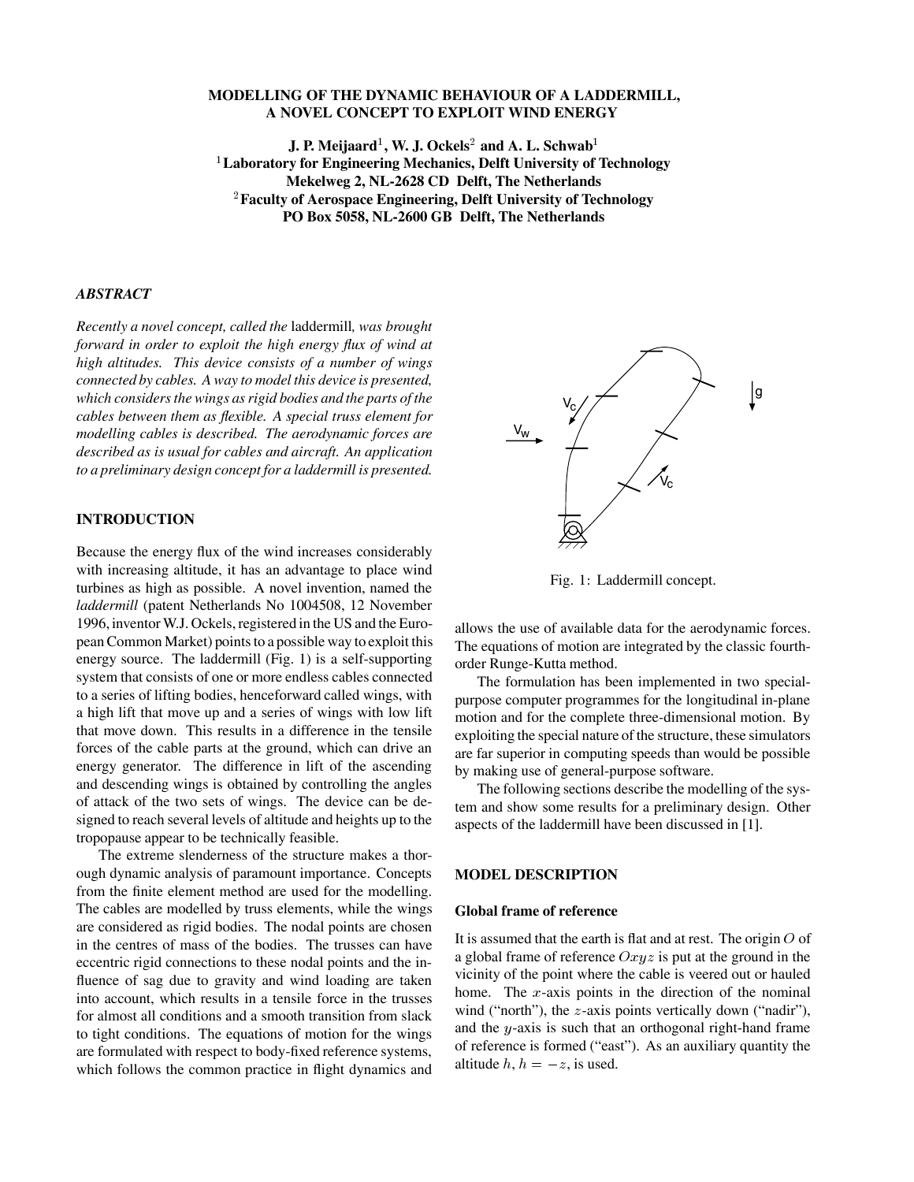# **MODELLING OF THE DYNAMIC BEHAVIOUR OF A LADDERMILL, A NOVEL CONCEPT TO EXPLOIT WIND ENERGY**

**J. P. Meijaard** $^1$ **, W. J. Ockels** $^2$  **and A. L. Schwab** $^1$  **Laboratory for Engineering Mechanics, Delft University of Technology Mekelweg 2, NL-2628 CD Delft, The Netherlands** - **Faculty of Aerospace Engineering, Delft University of Technology PO Box 5058, NL-2600 GB Delft, The Netherlands**

## *ABSTRACT*

*Recently a novel concept, called the* laddermill*, was brought forward in order to exploit the high energy flux of wind at high altitudes. This device consists of a number of wings connected by cables. A way to model this device is presented, which considers the wings as rigid bodies and the parts of the cables between them as flexible. A special truss element for modelling cables is described. The aerodynamic forces are described as is usual for cables and aircraft. An application to a preliminary design concept for a laddermill is presented.*

# **INTRODUCTION**

Because the energy flux of the wind increases considerably with increasing altitude, it has an advantage to place wind turbines as high as possible. A novel invention, named the *laddermill* (patent Netherlands No 1004508, 12 November 1996, inventorW.J. Ockels, registered in the US and the European Common Market) points to a possible way to exploit this energy source. The laddermill (Fig. 1) is a self-supporting system that consists of one or more endless cables connected to a series of lifting bodies, henceforward called wings, with a high lift that move up and a series of wings with low lift that move down. This results in a difference in the tensile forces of the cable parts at the ground, which can drive an energy generator. The difference in lift of the ascending and descending wings is obtained by controlling the angles of attack of the two sets of wings. The device can be designed to reach several levels of altitude and heights up to the tropopause appear to be technically feasible.

The extreme slenderness of the structure makes a thorough dynamic analysis of paramount importance. Concepts from the finite element method are used for the modelling. The cables are modelled by truss elements, while the wings are considered as rigid bodies. The nodal points are chosen in the centres of mass of the bodies. The trusses can have eccentric rigid connections to these nodal points and the influence of sag due to gravity and wind loading are taken into account, which results in a tensile force in the trusses for almost all conditions and a smooth transition from slack to tight conditions. The equations of motion for the wings are formulated with respect to body-fixed reference systems, which follows the common practice in flight dynamics and



Fig. 1 Laddermill concept.

allows the use of available data for the aerodynamic forces. The equations of motion are integrated by the classic fourthorder Runge-Kutta method.

The formulation has been implemented in two specialpurpose computer programmes for the longitudinal in-plane motion and for the complete three-dimensional motion. By exploiting the special nature of the structure, these simulators are far superior in computing speeds than would be possible by making use of general-purpose software.

The following sections describe the modelling of the system and show some results for a preliminary design. Other aspects of the laddermill have been discussed in [1].

## **MODEL DESCRIPTION**

# **Global frame of reference**

It is assumed that the earth is flat and at rest. The origin  $O$  of a global frame of reference  $Oxyz$  is put at the ground in the vicinity of the point where the cable is veered out or hauled home. The  $x$ -axis points in the direction of the nominal wind ("north"), the  $z$ -axis points vertically down ("nadir"), and the  $y$ -axis is such that an orthogonal right-hand frame of reference is formed ("east"). As an auxiliary quantity the altitude  $h, h = -z$ , is used.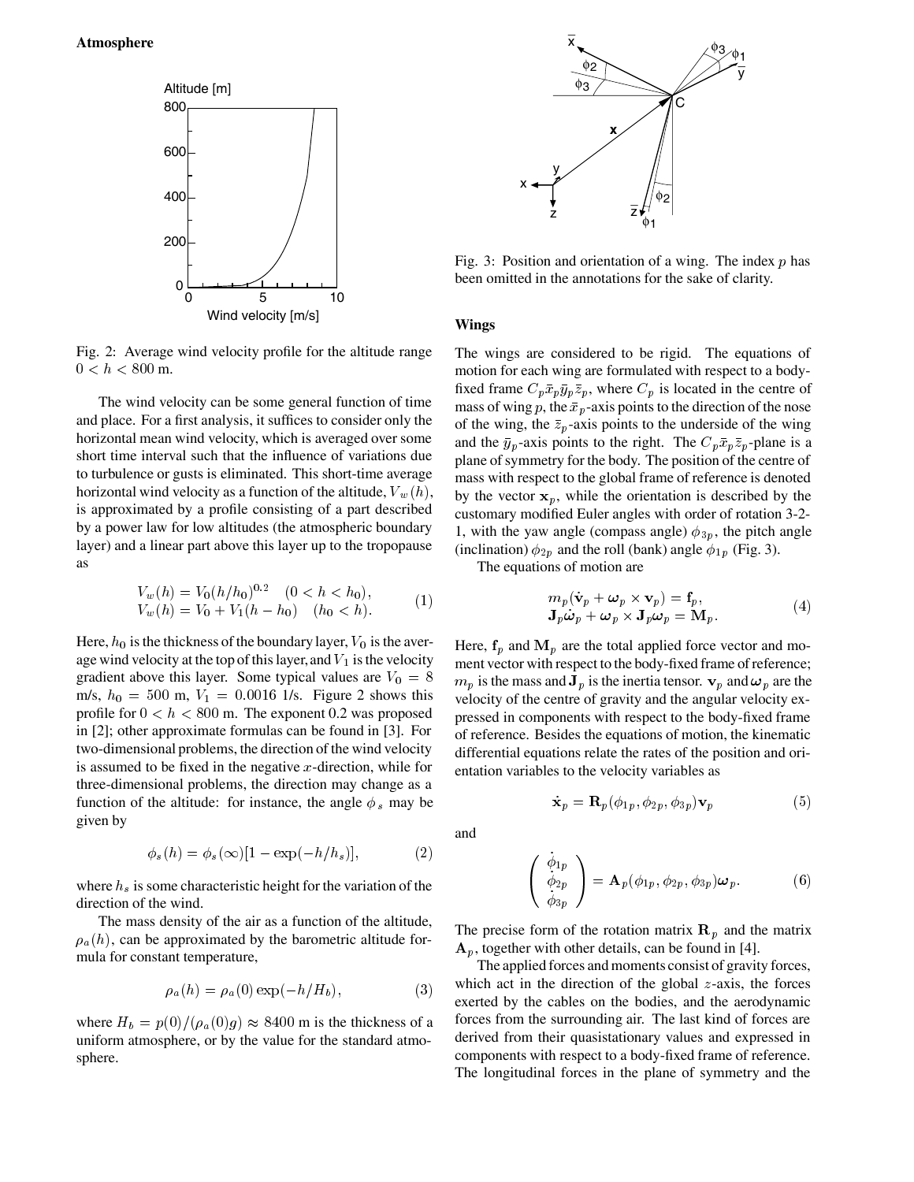

Fig. 2. Average wind velocity profile for the altitude range  $0 < h < 800$  m.

The wind velocity can be some general function of time and place. For a first analysis, it suffices to consider only the horizontal mean wind velocity, which is averaged over some short time interval such that the influence of variations due to turbulence or gusts is eliminated. This short-time average horizontal wind velocity as a function of the altitude,  $V_w(h)$ , is approximated by a profile consisting of a part described by a power law for low altitudes (the atmospheric boundary layer) and a linear part above this layer up to the tropopause as

$$
V_w(h) = V_0 (h/h_0)^{0.2} \quad (0 < h < h_0),
$$
  
\n
$$
V_w(h) = V_0 + V_1 (h - h_0) \quad (h_0 < h).
$$
\n<sup>(1)</sup>

Here,  $h_0$  is the thickness of the boundary layer,  $V_0$  is the average wind velocity at the top of this layer, and  $V_1$  is the velocity gradient above this layer. Some typical values are  $V_0 = 8$ m/s,  $h_0 = 500$  m,  $V_1 = 0.0016$  1/s. Figure 2 shows this profile for  $0 < h < 800$  m. The exponent 0.2 was proposed in [2]; other approximate formulas can be found in [3]. For two-dimensional problems, the direction of the wind velocity is assumed to be fixed in the negative  $x$ -direction, while for three-dimensional problems, the direction may change as a function of the altitude: for instance, the angle  $\phi_s$  may be given by

$$
\phi_s(h) = \phi_s(\infty)[1 - \exp(-h/h_s)],\tag{2}
$$

where  $h_s$  is some characteristic height for the variation of the direction of the wind.

The mass density of the air as a function of the altitude,  $\rho_a(h)$ , can be approximated by the barometric altitude formula for constant temperature,

$$
\rho_a(h) = \rho_a(0) \exp(-h/H_b), \tag{3}
$$

where  $H_b = p(0)/(\rho_a(0)g) \approx 8400$  m is the thickness of a uniform atmosphere, or by the value for the standard atmosphere.



Fig. 3: Position and orientation of a wing. The index  $p$  has been omitted in the annotations for the sake of clarity.

### **Wings**

The wings are considered to be rigid. The equations of motion for each wing are formulated with respect to a bodyfixed frame  $C_p \bar{x}_p \bar{y}_p \bar{z}_p$ , where  $C_p$  is located in the centre of mass of wing p, the  $\bar{x}_p$ -axis points to the direction of the nose of the wing, the  $\bar{z}_p$ -axis points to the underside of the wing and the  $\bar{y}_p$ -axis points to the right. The  $C_p \bar{x}_p \bar{z}_p$ -plane is a plane of symmetry for the body. The position of the centre of mass with respect to the global frame of reference is denoted by the vector  $x_p$ , while the orientation is described by the customary modified Euler angles with order of rotation 3-2- 1, with the yaw angle (compass angle)  $\phi_{3p}$ , the pitch angle (inclination)  $\phi_{2p}$  and the roll (bank) angle  $\phi_{1p}$  (Fig. 3).

The equations of motion are

$$
m_p(\dot{\mathbf{v}}_p + \boldsymbol{\omega}_p \times \mathbf{v}_p) = \mathbf{f}_p, \mathbf{J}_p \dot{\boldsymbol{\omega}}_p + \boldsymbol{\omega}_p \times \mathbf{J}_p \boldsymbol{\omega}_p = \mathbf{M}_p.
$$
\n(4)

 $\delta$   $m_p$  is the mass and  $\mathbf{J}_p$  is the inertia tensor.  $\mathbf{v}_p$  and  $\mathbf{\omega}_p$  are the Here,  $f_p$  and  $M_p$  are the total applied force vector and moment vector with respect to the body-fixed frame of reference; velocity of the centre of gravity and the angular velocity expressed in components with respect to the body-fixed frame of reference. Besides the equations of motion, the kinematic differential equations relate the rates of the position and orientation variables to the velocity variables as

$$
\dot{\mathbf{x}}_p = \mathbf{R}_p(\phi_{1p}, \phi_{2p}, \phi_{3p}) \mathbf{v}_p \tag{5}
$$

and

$$
\begin{pmatrix}\n\dot{\phi}_{1p} \\
\dot{\phi}_{2p} \\
\dot{\phi}_{3p}\n\end{pmatrix} = \mathbf{A}_p(\phi_{1p}, \phi_{2p}, \phi_{3p}) \boldsymbol{\omega}_p.
$$
\n(6)

The precise form of the rotation matrix  $\mathbf{R}_p$  and the matrix  $A_n$ , together with other details, can be found in [4].

The applied forces and moments consist of gravity forces, which act in the direction of the global  $z$ -axis, the forces exerted by the cables on the bodies, and the aerodynamic forces from the surrounding air. The last kind of forces are derived from their quasistationary values and expressed in components with respect to a body-fixed frame of reference. The longitudinal forces in the plane of symmetry and the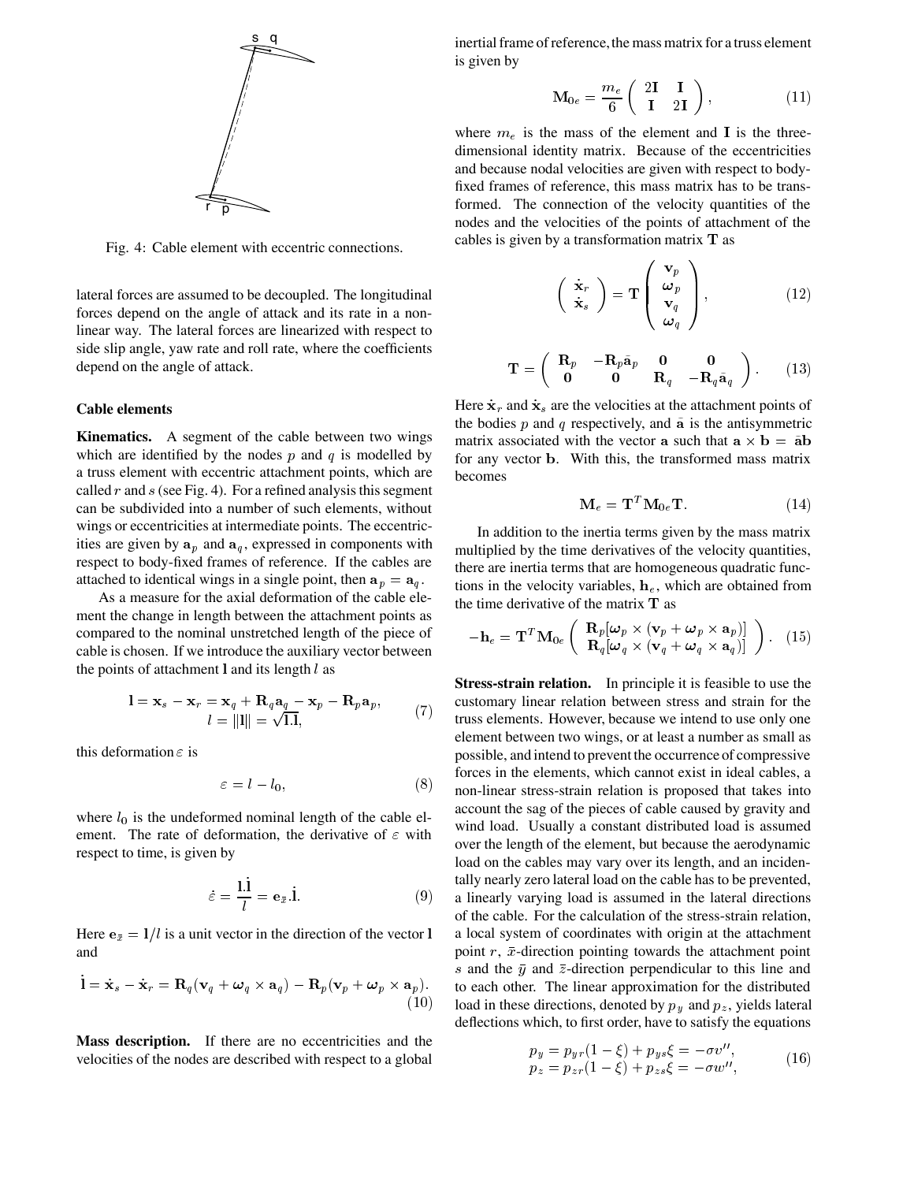

Fig. 4 Cable element with eccentric connections.

lateral forces are assumed to be decoupled. The longitudinal forces depend on the angle of attack and its rate in a nonlinear way. The lateral forces are linearized with respect to side slip angle, yaw rate and roll rate, where the coefficients depend on the angle of attack.

### **Cable elements**

**Kinematics.** A segment of the cable between two wings which are identified by the nodes  $p$  and  $q$  is modelled by a truss element with eccentric attachment points, which are called  $r$  and  $s$  (see Fig. 4). For a refined analysis this segment can be subdivided into a number of such elements, without wings or eccentricities at intermediate points. The eccentricities are given by  $a_p$  and  $a_q$ , expressed in components with respect to body-fixed frames of reference. If the cables are attached to identical wings in a single point, then  $a_p = a_q$ .

As a measure for the axial deformation of the cable element the change in length between the attachment points as compared to the nominal unstretched length of the piece of cable is chosen. If we introduce the auxiliary vector between the points of attachment **l** and its length  $l$  as

$$
\mathbf{l} = \mathbf{x}_s - \mathbf{x}_r = \mathbf{x}_q + \mathbf{R}_q \mathbf{a}_q - \mathbf{x}_p - \mathbf{R}_p \mathbf{a}_p, \n l = ||\mathbf{l}|| = \sqrt{1.1},
$$
\n(7)

this deformation  $\varepsilon$  is

$$
\varepsilon = l - l_0,\tag{8}
$$

where  $l_0$  is the undeformed nominal length of the cable element. The rate of deformation, the derivative of  $\varepsilon$  with respect to time, is given by

$$
\dot{\varepsilon} = \frac{1 \mathbf{i}}{l} = \mathbf{e}_{\bar{x}}.\dot{\mathbf{l}}.\tag{9}
$$

Here  $e_{\bar{x}} = 1/l$  is a unit vector in the direction of the vector 1 a and

$$
\dot{\mathbf{l}} = \dot{\mathbf{x}}_s - \dot{\mathbf{x}}_r = \mathbf{R}_q(\mathbf{v}_q + \boldsymbol{\omega}_q \times \mathbf{a}_q) - \mathbf{R}_p(\mathbf{v}_p + \boldsymbol{\omega}_p \times \mathbf{a}_p).
$$
\n(10)

**Mass description.** If there are no eccentricities and the velocities of the nodes are described with respect to a global

inertial frame of reference, the mass matrix for a truss element is given by

$$
\mathbf{M}_{0e} = \frac{m_e}{6} \begin{pmatrix} 2\mathbf{I} & \mathbf{I} \\ \mathbf{I} & 2\mathbf{I} \end{pmatrix}, \tag{11}
$$

where  $m_e$  is the mass of the element and I is the threedimensional identity matrix. Because of the eccentricities and because nodal velocities are given with respect to bodyfixed frames of reference, this mass matrix has to be transformed. The connection of the velocity quantities of the nodes and the velocities of the points of attachment of the cables is given by a transformation matrix  $T$  as

$$
\begin{pmatrix} \dot{\mathbf{x}}_r \\ \dot{\mathbf{x}}_s \end{pmatrix} = \mathbf{T} \begin{pmatrix} \mathbf{v}_p \\ \boldsymbol{\omega}_p \\ \mathbf{v}_q \\ \boldsymbol{\omega}_q \end{pmatrix}, \qquad (12)
$$

$$
\mathbf{T} = \left( \begin{array}{ccc} \mathbf{R}_p & -\mathbf{R}_p \tilde{\mathbf{a}}_p & \mathbf{0} & \mathbf{0} \\ \mathbf{0} & \mathbf{0} & \mathbf{R}_q & -\mathbf{R}_q \tilde{\mathbf{a}}_q \end{array} \right). \tag{13}
$$

Here  $\dot{\mathbf{x}}_r$  and  $\dot{\mathbf{x}}_s$  are the velocities at the attachment points of the bodies  $p$  and  $q$  respectively, and  $\tilde{a}$  is the antisymmetric matrix associated with the vector **a** such that  $a \times b = ab$ for any vector **b**. With this, the transformed mass matrix becomes

$$
\mathbf{M}_e = \mathbf{T}^T \mathbf{M}_{0e} \mathbf{T}.\tag{14}
$$

In addition to the inertia terms given by the mass matrix multiplied by the time derivatives of the velocity quantities, there are inertia terms that are homogeneous quadratic functions in the velocity variables,  $h_e$ , which are obtained from the time derivative of the matrix  **as** 

$$
-\mathbf{h}_e = \mathbf{T}^T \mathbf{M}_{0e} \left( \begin{array}{c} \mathbf{R}_p[\boldsymbol{\omega}_p \times (\mathbf{v}_p + \boldsymbol{\omega}_p \times \mathbf{a}_p)] \\ \mathbf{R}_q[\boldsymbol{\omega}_q \times (\mathbf{v}_q + \boldsymbol{\omega}_q \times \mathbf{a}_q)] \end{array} \right). \tag{15}
$$

 $\overline{I}$ ,  $\overline{I}$ ,  $\overline{I}$  truss elements. However, because we intend to use only one  $h = h_0$ , (8) non-linear stress-strain relation is proposed that takes into a linearly varying load is assumed in the lateral directions  $t_p + \omega_p \times \mathbf{a}_p$  to each other. The linear approximation for the distributed  $(10)$  load in these directions, denoted by  $p_y$  and  $p_z$ , yields lateral **Stress-strain relation.** In principle it is feasible to use the customary linear relation between stress and strain for the element between two wings, or at least a number as small as possible, and intend to prevent the occurrence of compressive forces in the elements, which cannot exist in ideal cables, a account the sag of the pieces of cable caused by gravity and wind load. Usually a constant distributed load is assumed over the length of the element, but because the aerodynamic load on the cables may vary over its length, and an incidentally nearly zero lateral load on the cable has to be prevented, of the cable. For the calculation of the stress-strain relation, a local system of coordinates with origin at the attachment point  $r$ ,  $\bar{x}$ -direction pointing towards the attachment point s and the  $\bar{y}$  and  $\bar{z}$ -direction perpendicular to this line and deflections which, to first order, have to satisfy the equations

$$
p_y = p_{yr}(1 - \xi) + p_{ys}\xi = -\sigma v'',p_z = p_{zr}(1 - \xi) + p_{zs}\xi = -\sigma w'',
$$
 (16)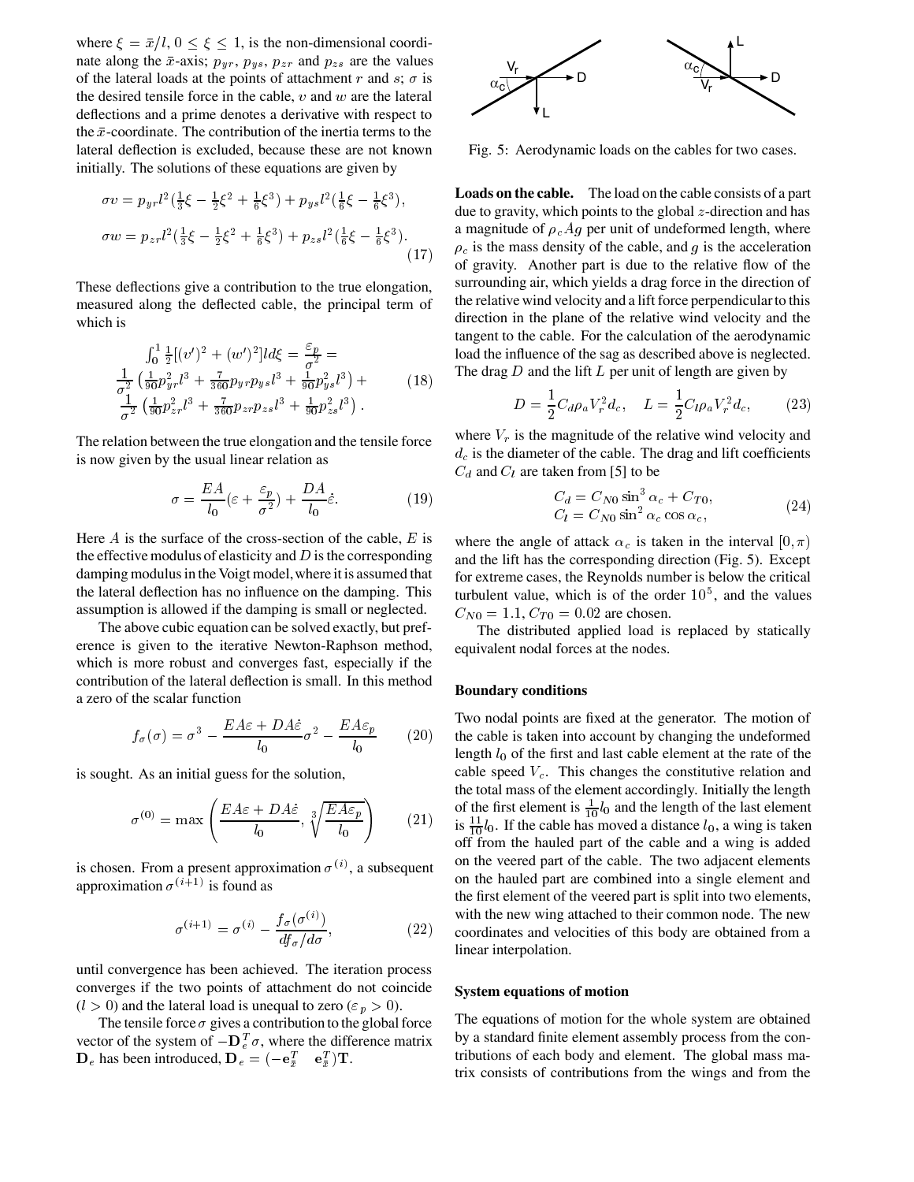where  $\xi = \bar{x}/l$ ,  $0 \le \xi \le 1$ , is the non-dimensional coordinate along the  $\bar{x}$ -axis;  $p_{ur}, p_{us}, p_{zr}$  and  $p_{zs}$  are the values of the lateral loads at the points of attachment  $r$  and  $s$ ;  $\sigma$  is the desired tensile force in the cable,  $v$  and  $w$  are the lateral deflections and a prime denotes a derivative with respect to the  $\bar{x}$ -coordinate. The contribution of the inertia terms to the lateral deflection is excluded, because these are not known initially. The solutions of these equations are given by

$$
\sigma v = p_{yr} l^2 \left(\frac{1}{3}\xi - \frac{1}{2}\xi^2 + \frac{1}{6}\xi^3\right) + p_{ys} l^2 \left(\frac{1}{6}\xi - \frac{1}{6}\xi^3\right),
$$
  
\n
$$
\sigma w = p_{zr} l^2 \left(\frac{1}{3}\xi - \frac{1}{2}\xi^2 + \frac{1}{6}\xi^3\right) + p_{zs} l^2 \left(\frac{1}{6}\xi - \frac{1}{6}\xi^3\right).
$$
\n(17)

These deflections give a contribution to the true elongation, measured along the deflected cable, the principal term of which is

$$
\int_0^1 \frac{1}{2} [(v')^2 + (w')^2] d\xi = \frac{\varepsilon_p}{\sigma^2} = \text{loac}
$$
  

$$
\frac{1}{\sigma^2} \left( \frac{1}{90} p_{yr}^2 l^3 + \frac{7}{360} p_{yr} p_{ys} l^3 + \frac{1}{90} p_{ys}^2 l^3 \right) + \frac{1}{\sigma^2} \left( \frac{1}{90} p_{zr}^2 l^3 + \frac{7}{360} p_{zr} p_{zs} l^3 + \frac{1}{90} p_{zs}^2 l^3 \right).
$$
 (18)

The relation between the true elongation and the tensile force is now given by the usual linear relation as

$$
\sigma = \frac{EA}{l_0} (\varepsilon + \frac{\varepsilon_p}{\sigma^2}) + \frac{DA}{l_0} \dot{\varepsilon}.\tag{19}
$$

Here  $\Lambda$  is the surface of the cross-section of the cable,  $E$  is the effective modulus of elasticity and  $D$  is the corresponding damping modulus in the Voigt model,where it is assumed that the lateral deflection has no influence on the damping. This assumption is allowed if the damping is small or neglected.

The above cubic equation can be solved exactly, but preference is given to the iterative Newton-Raphson method, which is more robust and converges fast, especially if the contribution of the lateral deflection is small. In this method a zero of the scalar function

$$
f_{\sigma}(\sigma) = \sigma^3 - \frac{EA\varepsilon + DA\dot{\varepsilon}}{l_0} \sigma^2 - \frac{EA\varepsilon_p}{l_0} \qquad (20)
$$

is sought. As an initial guess for the solution,

$$
\sigma^{(0)} = \max\left(\frac{EA\varepsilon + DA\dot{\varepsilon}}{l_0}, \sqrt[3]{\frac{EA\varepsilon_p}{l_0}}\right) \qquad (21) \qquad \frac{\text{o}}{\text{is}} \qquad 0
$$

is chosen. From a present approximation  $\sigma^{(i)}$ , a subsequent approximation  $\sigma^{(i+1)}$  is found as

$$
\sigma^{(i+1)} = \sigma^{(i)} - \frac{f_{\sigma}(\sigma^{(i)})}{df_{\sigma}/d\sigma},
$$

until convergence has been achieved. The iteration process converges if the two points of attachment do not coincide  $(l > 0)$  and the lateral load is unequal to zero  $(\varepsilon_p > 0)$ .

The tensile force  $\sigma$  gives a contribution to the global force vector of the system of  $-\mathbf{D}_e^T\sigma$ , where the difference matrix  $\mathbf{D}_e$  has been introduced,  $\mathbf{D}_e = (-\mathbf{e}_{\bar{x}}^T \quad \mathbf{e}_{\bar{x}}^T) \mathbf{T}$ .



Fig. 5 Aerodynamic loads on the cables for two cases.

<sup>1</sup> of gravity. Another part is due to the relative flow of the **Loads on the cable.** The load on the cable consists of a part due to gravity, which points to the global  $z$ -direction and has a magnitude of  $\rho_c Ag$  per unit of undeformed length, where  $\rho_c$  is the mass density of the cable, and g is the acceleration surrounding air, which yields a drag force in the direction of the relative wind velocity and a lift force perpendicularto this direction in the plane of the relative wind velocity and the tangent to the cable. For the calculation of the aerodynamic load the influence of the sag as described above is neglected. The drag  $D$  and the lift  $L$  per unit of length are given by

$$
D = \frac{1}{2} C_d \rho_a V_r^2 d_c, \quad L = \frac{1}{2} C_l \rho_a V_r^2 d_c, \quad (23)
$$

where  $V_r$  is the magnitude of the relative wind velocity and  $d_c$  is the diameter of the cable. The drag and lift coefficients  $C_d$  and  $C_l$  are taken from [5] to be

$$
C_d = C_{N0} \sin^3 \alpha_c + C_{T0},
$$
  
\n
$$
C_l = C_{N0} \sin^2 \alpha_c \cos \alpha_c,
$$
\n(24)

where the angle of attack  $\alpha_c$  is taken in the interval  $[0, \pi)$ and the lift has the corresponding direction (Fig. 5). Except for extreme cases, the Reynolds number is below the critical turbulent value, which is of the order  $10<sup>5</sup>$ , and the values  $C_{N0} = 1.1, C_{T0} = 0.02$  are chosen.

The distributed applied load is replaced by statically equivalent nodal forces at the nodes.

### **Boundary conditions**

 $(20)$  the cable is taken into account by changing the undeformed  $\frac{1}{10}$  is  $\frac{11}{10}l_0$ . If the cable has moved a distance  $l_0$ , a wing is taken Two nodal points are fixed at the generator. The motion of length  $l_0$  of the first and last cable element at the rate of the cable speed  $V_c$ . This changes the constitutive relation and the total mass of the element accordingly. Initially the length of the first element is  $\frac{1}{10}l_0$  and the length of the last element off from the hauled part of the cable and a wing is added on the veered part of the cable. The two adjacent elements on the hauled part are combined into a single element and the first element of the veered part is split into two elements, with the new wing attached to their common node. The new coordinates and velocities of this body are obtained from a linear interpolation.

#### **System equations of motion**

The equations of motion for the whole system are obtained by a standard finite element assembly process from the contributions of each body and element. The global mass matrix consists of contributions from the wings and from the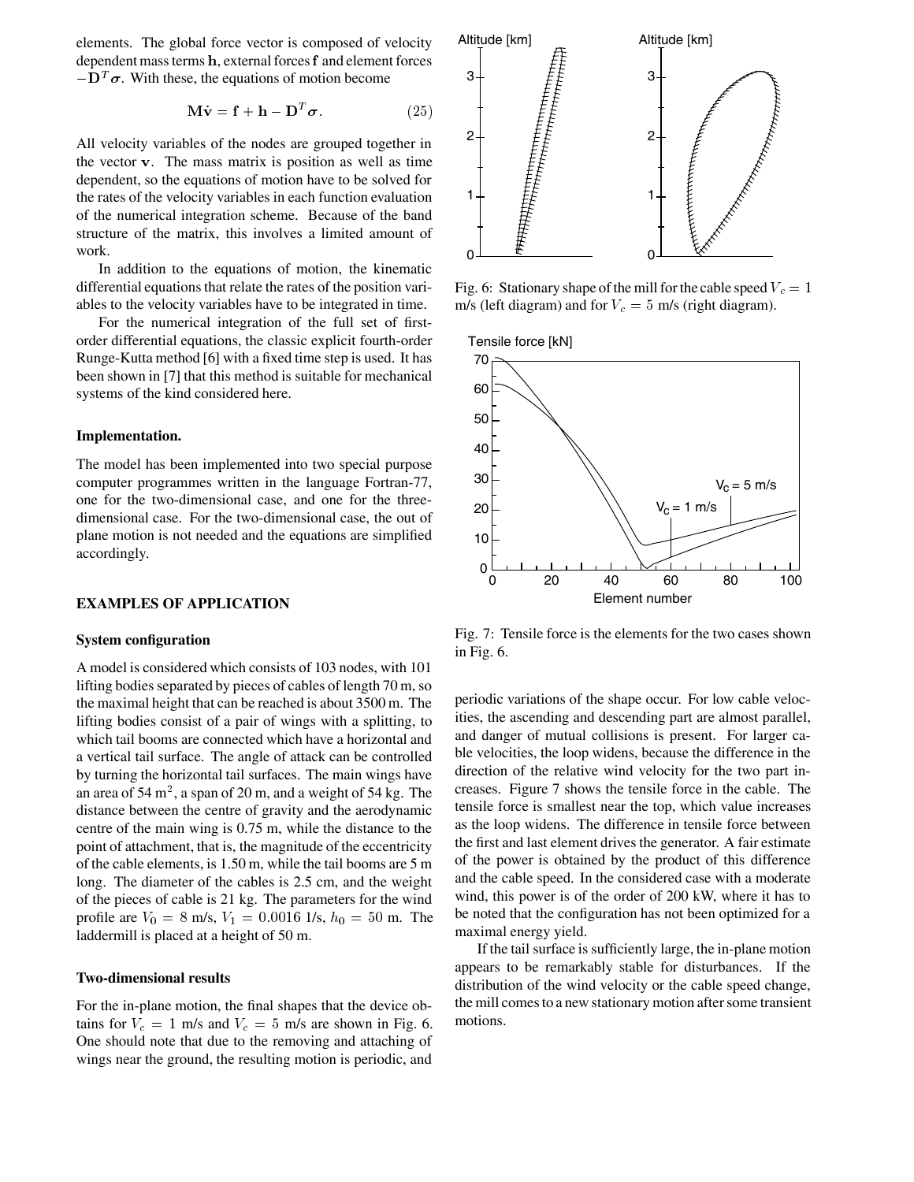elements. The global force vector is composed of velocity dependent mass terms  $h$ , external forces  $f$  and element forces  $-\mathbf{D}^T\boldsymbol{\sigma}$ . With these, the equations of motion become

$$
\mathbf{M}\dot{\mathbf{v}} = \mathbf{f} + \mathbf{h} - \mathbf{D}^T \boldsymbol{\sigma}.
$$
 (25)

All velocity variables of the nodes are grouped together in the vector v. The mass matrix is position as well as time dependent, so the equations of motion have to be solved for the rates of the velocity variables in each function evaluation of the numerical integration scheme. Because of the band structure of the matrix, this involves a limited amount of work.

In addition to the equations of motion, the kinematic differential equations that relate the rates of the position variables to the velocity variables have to be integrated in time.

For the numerical integration of the full set of firstorder differential equations, the classic explicit fourth-order Runge-Kutta method [6] with a fixed time step is used. It has been shown in [7] that this method is suitable for mechanical systems of the kind considered here.

### **Implementation.**

The model has been implemented into two special purpose computer programmes written in the language Fortran-77, one for the two-dimensional case, and one for the threedimensional case. For the two-dimensional case, the out of plane motion is not needed and the equations are simplified accordingly.

# **EXAMPLES OF APPLICATION**

### **System configuration**

A model is considered which consists of 103 nodes, with 101 lifting bodies separated by pieces of cables of length 70 m, so the maximal height that can be reached is about 3500 m. The lifting bodies consist of a pair of wings with a splitting, to which tail booms are connected which have a horizontal and a vertical tail surface. The angle of attack can be controlled by turning the horizontal tail surfaces. The main wings have an area of 54 m<sup>2</sup>, a span of 20 m, and a weight of 54 kg. The distance between the centre of gravity and the aerodynamic centre of the main wing is 0.75 m, while the distance to the point of attachment, that is, the magnitude of the eccentricity of the cable elements, is 1.50 m, while the tail booms are 5 m long. The diameter of the cables is 2.5 cm, and the weight of the pieces of cable is 21 kg. The parameters for the wind profile are  $V_0 = 8$  m/s,  $V_1 = 0.0016$  1/s,  $h_0 = 50$  m. The laddermill is placed at a height of 50 m.

# **Two-dimensional results**

For the in-plane motion, the final shapes that the device obtains for  $V_c = 1$  m/s and  $V_c = 5$  m/s are shown in Fig. 6. One should note that due to the removing and attaching of wings near the ground, the resulting motion is periodic, and



Fig. 6: Stationary shape of the mill for the cable speed  $V_c = 1$ m/s (left diagram) and for  $V_c = 5$  m/s (right diagram).





Fig. 7 Tensile force is the elements for the two cases shown in Fig. 6.

periodic variations of the shape occur. For low cable velocities, the ascending and descending part are almost parallel, and danger of mutual collisions is present. For larger cable velocities, the loop widens, because the difference in the direction of the relative wind velocity for the two part increases. Figure 7 shows the tensile force in the cable. The tensile force is smallest near the top, which value increases as the loop widens. The difference in tensile force between the first and last element drives the generator. A fair estimate of the power is obtained by the product of this difference and the cable speed. In the considered case with a moderate wind, this power is of the order of 200 kW, where it has to be noted that the configuration has not been optimized for a maximal energy yield.

If the tail surface is sufficiently large, the in-plane motion appears to be remarkably stable for disturbances. If the distribution of the wind velocity or the cable speed change, the mill comes to a new stationary motion after some transient motions.